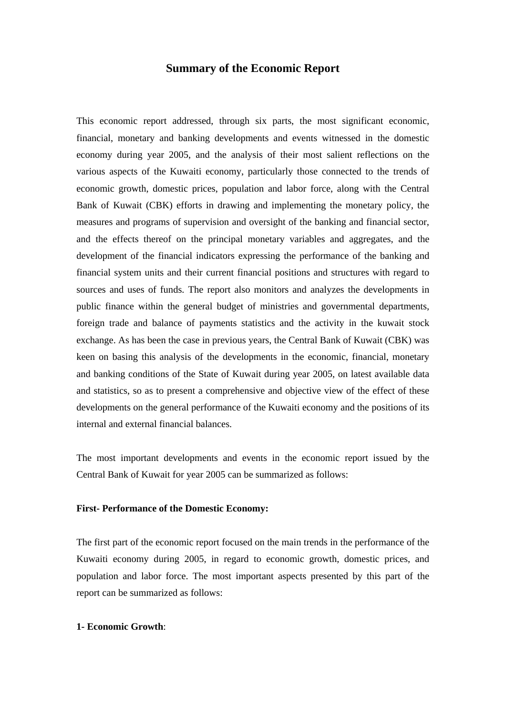## **Summary of the Economic Report**

This economic report addressed, through six parts, the most significant economic, financial, monetary and banking developments and events witnessed in the domestic economy during year 2005, and the analysis of their most salient reflections on the various aspects of the Kuwaiti economy, particularly those connected to the trends of economic growth, domestic prices, population and labor force, along with the Central Bank of Kuwait (CBK) efforts in drawing and implementing the monetary policy, the measures and programs of supervision and oversight of the banking and financial sector, and the effects thereof on the principal monetary variables and aggregates, and the development of the financial indicators expressing the performance of the banking and financial system units and their current financial positions and structures with regard to sources and uses of funds. The report also monitors and analyzes the developments in public finance within the general budget of ministries and governmental departments, foreign trade and balance of payments statistics and the activity in the kuwait stock exchange. As has been the case in previous years, the Central Bank of Kuwait (CBK) was keen on basing this analysis of the developments in the economic, financial, monetary and banking conditions of the State of Kuwait during year 2005, on latest available data and statistics, so as to present a comprehensive and objective view of the effect of these developments on the general performance of the Kuwaiti economy and the positions of its internal and external financial balances.

The most important developments and events in the economic report issued by the Central Bank of Kuwait for year 2005 can be summarized as follows:

## **First- Performance of the Domestic Economy:**

The first part of the economic report focused on the main trends in the performance of the Kuwaiti economy during 2005, in regard to economic growth, domestic prices, and population and labor force. The most important aspects presented by this part of the report can be summarized as follows:

#### **1- Economic Growth**: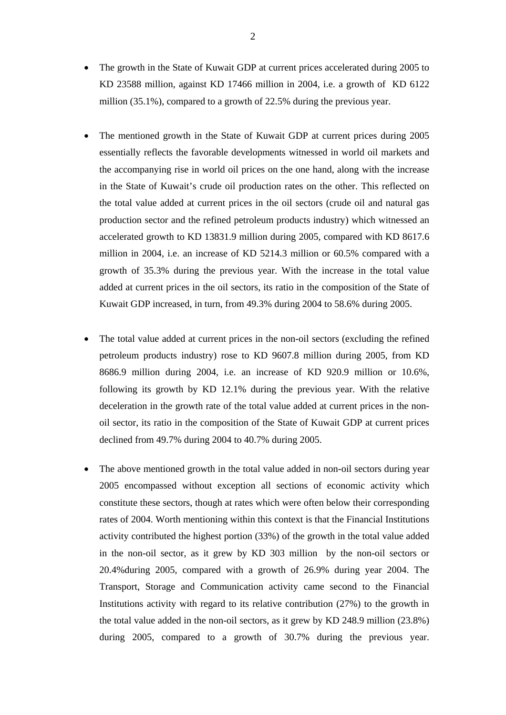- The growth in the State of Kuwait GDP at current prices accelerated during 2005 to KD 23588 million, against KD 17466 million in 2004, i.e. a growth of KD 6122 million (35.1%), compared to a growth of 22.5% during the previous year.
- The mentioned growth in the State of Kuwait GDP at current prices during 2005 essentially reflects the favorable developments witnessed in world oil markets and the accompanying rise in world oil prices on the one hand, along with the increase in the State of Kuwait's crude oil production rates on the other. This reflected on the total value added at current prices in the oil sectors (crude oil and natural gas production sector and the refined petroleum products industry) which witnessed an accelerated growth to KD 13831.9 million during 2005, compared with KD 8617.6 million in 2004, i.e. an increase of KD 5214.3 million or 60.5% compared with a growth of 35.3% during the previous year. With the increase in the total value added at current prices in the oil sectors, its ratio in the composition of the State of Kuwait GDP increased, in turn, from 49.3% during 2004 to 58.6% during 2005.
- The total value added at current prices in the non-oil sectors (excluding the refined petroleum products industry) rose to KD 9607.8 million during 2005, from KD 8686.9 million during 2004, i.e. an increase of KD 920.9 million or 10.6%, following its growth by KD 12.1% during the previous year. With the relative deceleration in the growth rate of the total value added at current prices in the nonoil sector, its ratio in the composition of the State of Kuwait GDP at current prices declined from 49.7% during 2004 to 40.7% during 2005.
- The above mentioned growth in the total value added in non-oil sectors during year 2005 encompassed without exception all sections of economic activity which constitute these sectors, though at rates which were often below their corresponding rates of 2004. Worth mentioning within this context is that the Financial Institutions activity contributed the highest portion (33%) of the growth in the total value added in the non-oil sector, as it grew by KD 303 million by the non-oil sectors or 20.4%during 2005, compared with a growth of 26.9% during year 2004. The Transport, Storage and Communication activity came second to the Financial Institutions activity with regard to its relative contribution (27%) to the growth in the total value added in the non-oil sectors, as it grew by KD 248.9 million (23.8%) during 2005, compared to a growth of 30.7% during the previous year.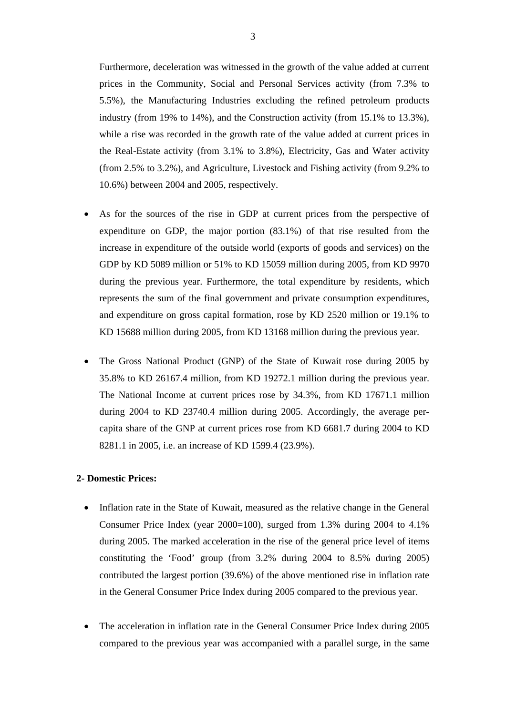Furthermore, deceleration was witnessed in the growth of the value added at current prices in the Community, Social and Personal Services activity (from 7.3% to 5.5%), the Manufacturing Industries excluding the refined petroleum products industry (from 19% to 14%), and the Construction activity (from 15.1% to 13.3%), while a rise was recorded in the growth rate of the value added at current prices in the Real-Estate activity (from 3.1% to 3.8%), Electricity, Gas and Water activity (from 2.5% to 3.2%), and Agriculture, Livestock and Fishing activity (from 9.2% to 10.6%) between 2004 and 2005, respectively.

- As for the sources of the rise in GDP at current prices from the perspective of expenditure on GDP, the major portion (83.1%) of that rise resulted from the increase in expenditure of the outside world (exports of goods and services) on the GDP by KD 5089 million or 51% to KD 15059 million during 2005, from KD 9970 during the previous year. Furthermore, the total expenditure by residents, which represents the sum of the final government and private consumption expenditures, and expenditure on gross capital formation, rose by KD 2520 million or 19.1% to KD 15688 million during 2005, from KD 13168 million during the previous year.
- The Gross National Product (GNP) of the State of Kuwait rose during 2005 by 35.8% to KD 26167.4 million, from KD 19272.1 million during the previous year. The National Income at current prices rose by 34.3%, from KD 17671.1 million during 2004 to KD 23740.4 million during 2005. Accordingly, the average percapita share of the GNP at current prices rose from KD 6681.7 during 2004 to KD 8281.1 in 2005, i.e. an increase of KD 1599.4 (23.9%).

#### **2- Domestic Prices:**

- Inflation rate in the State of Kuwait, measured as the relative change in the General Consumer Price Index (year 2000=100), surged from 1.3% during 2004 to 4.1% during 2005. The marked acceleration in the rise of the general price level of items constituting the 'Food' group (from 3.2% during 2004 to 8.5% during 2005) contributed the largest portion (39.6%) of the above mentioned rise in inflation rate in the General Consumer Price Index during 2005 compared to the previous year.
- The acceleration in inflation rate in the General Consumer Price Index during 2005 compared to the previous year was accompanied with a parallel surge, in the same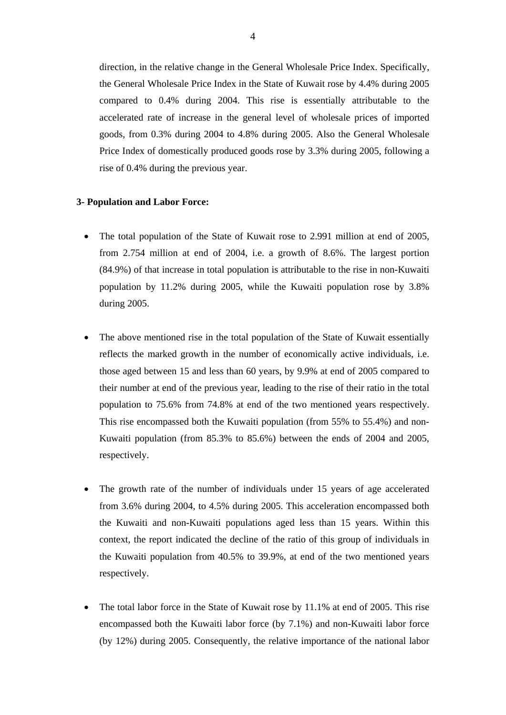direction, in the relative change in the General Wholesale Price Index. Specifically, the General Wholesale Price Index in the State of Kuwait rose by 4.4% during 2005 compared to 0.4% during 2004. This rise is essentially attributable to the accelerated rate of increase in the general level of wholesale prices of imported goods, from 0.3% during 2004 to 4.8% during 2005. Also the General Wholesale Price Index of domestically produced goods rose by 3.3% during 2005, following a rise of 0.4% during the previous year.

#### **3- Population and Labor Force:**

- The total population of the State of Kuwait rose to 2.991 million at end of 2005, from 2.754 million at end of 2004, i.e. a growth of 8.6%. The largest portion (84.9%) of that increase in total population is attributable to the rise in non-Kuwaiti population by 11.2% during 2005, while the Kuwaiti population rose by 3.8% during 2005.
- The above mentioned rise in the total population of the State of Kuwait essentially reflects the marked growth in the number of economically active individuals, i.e. those aged between 15 and less than 60 years, by 9.9% at end of 2005 compared to their number at end of the previous year, leading to the rise of their ratio in the total population to 75.6% from 74.8% at end of the two mentioned years respectively. This rise encompassed both the Kuwaiti population (from 55% to 55.4%) and non-Kuwaiti population (from 85.3% to 85.6%) between the ends of 2004 and 2005, respectively.
- The growth rate of the number of individuals under 15 years of age accelerated from 3.6% during 2004, to 4.5% during 2005. This acceleration encompassed both the Kuwaiti and non-Kuwaiti populations aged less than 15 years. Within this context, the report indicated the decline of the ratio of this group of individuals in the Kuwaiti population from 40.5% to 39.9%, at end of the two mentioned years respectively.
- The total labor force in the State of Kuwait rose by 11.1% at end of 2005. This rise encompassed both the Kuwaiti labor force (by 7.1%) and non-Kuwaiti labor force (by 12%) during 2005. Consequently, the relative importance of the national labor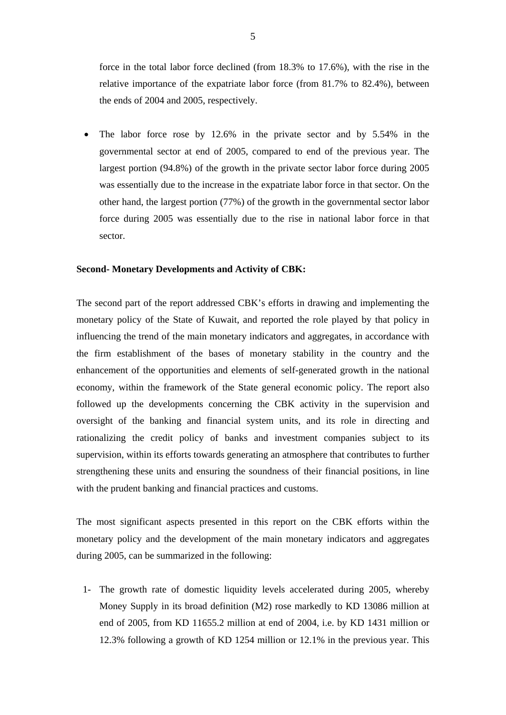force in the total labor force declined (from 18.3% to 17.6%), with the rise in the relative importance of the expatriate labor force (from 81.7% to 82.4%), between the ends of 2004 and 2005, respectively.

The labor force rose by 12.6% in the private sector and by 5.54% in the governmental sector at end of 2005, compared to end of the previous year. The largest portion (94.8%) of the growth in the private sector labor force during 2005 was essentially due to the increase in the expatriate labor force in that sector. On the other hand, the largest portion (77%) of the growth in the governmental sector labor force during 2005 was essentially due to the rise in national labor force in that sector.

#### **Second- Monetary Developments and Activity of CBK:**

The second part of the report addressed CBK's efforts in drawing and implementing the monetary policy of the State of Kuwait, and reported the role played by that policy in influencing the trend of the main monetary indicators and aggregates, in accordance with the firm establishment of the bases of monetary stability in the country and the enhancement of the opportunities and elements of self-generated growth in the national economy, within the framework of the State general economic policy. The report also followed up the developments concerning the CBK activity in the supervision and oversight of the banking and financial system units, and its role in directing and rationalizing the credit policy of banks and investment companies subject to its supervision, within its efforts towards generating an atmosphere that contributes to further strengthening these units and ensuring the soundness of their financial positions, in line with the prudent banking and financial practices and customs.

The most significant aspects presented in this report on the CBK efforts within the monetary policy and the development of the main monetary indicators and aggregates during 2005, can be summarized in the following:

1- The growth rate of domestic liquidity levels accelerated during 2005, whereby Money Supply in its broad definition (M2) rose markedly to KD 13086 million at end of 2005, from KD 11655.2 million at end of 2004, i.e. by KD 1431 million or 12.3% following a growth of KD 1254 million or 12.1% in the previous year. This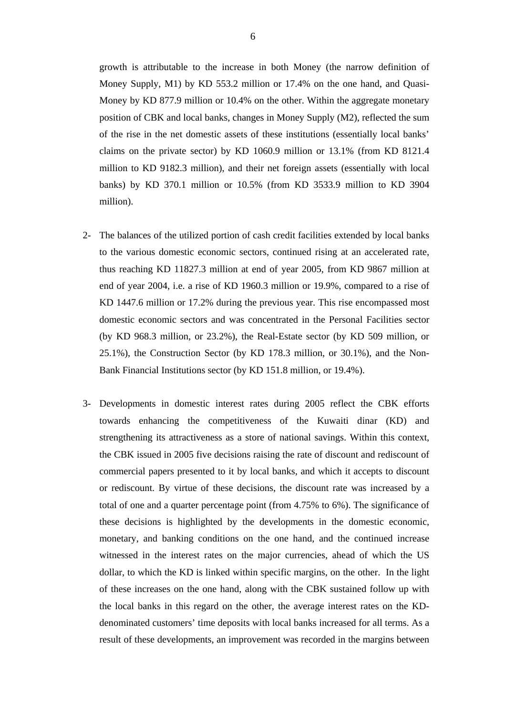growth is attributable to the increase in both Money (the narrow definition of Money Supply, M1) by KD 553.2 million or 17.4% on the one hand, and Quasi-Money by KD 877.9 million or 10.4% on the other. Within the aggregate monetary position of CBK and local banks, changes in Money Supply (M2), reflected the sum of the rise in the net domestic assets of these institutions (essentially local banks' claims on the private sector) by KD 1060.9 million or 13.1% (from KD 8121.4 million to KD 9182.3 million), and their net foreign assets (essentially with local banks) by KD 370.1 million or 10.5% (from KD 3533.9 million to KD 3904 million).

- 2- The balances of the utilized portion of cash credit facilities extended by local banks to the various domestic economic sectors, continued rising at an accelerated rate, thus reaching KD 11827.3 million at end of year 2005, from KD 9867 million at end of year 2004, i.e. a rise of KD 1960.3 million or 19.9%, compared to a rise of KD 1447.6 million or 17.2% during the previous year. This rise encompassed most domestic economic sectors and was concentrated in the Personal Facilities sector (by KD 968.3 million, or 23.2%), the Real-Estate sector (by KD 509 million, or 25.1%), the Construction Sector (by KD 178.3 million, or 30.1%), and the Non-Bank Financial Institutions sector (by KD 151.8 million, or 19.4%).
- 3- Developments in domestic interest rates during 2005 reflect the CBK efforts towards enhancing the competitiveness of the Kuwaiti dinar (KD) and strengthening its attractiveness as a store of national savings. Within this context, the CBK issued in 2005 five decisions raising the rate of discount and rediscount of commercial papers presented to it by local banks, and which it accepts to discount or rediscount. By virtue of these decisions, the discount rate was increased by a total of one and a quarter percentage point (from 4.75% to 6%). The significance of these decisions is highlighted by the developments in the domestic economic, monetary, and banking conditions on the one hand, and the continued increase witnessed in the interest rates on the major currencies, ahead of which the US dollar, to which the KD is linked within specific margins, on the other. In the light of these increases on the one hand, along with the CBK sustained follow up with the local banks in this regard on the other, the average interest rates on the KDdenominated customers' time deposits with local banks increased for all terms. As a result of these developments, an improvement was recorded in the margins between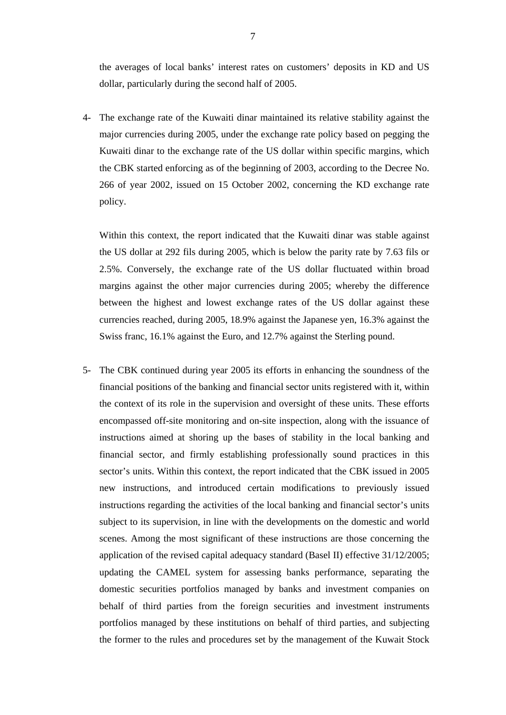the averages of local banks' interest rates on customers' deposits in KD and US dollar, particularly during the second half of 2005.

4- The exchange rate of the Kuwaiti dinar maintained its relative stability against the major currencies during 2005, under the exchange rate policy based on pegging the Kuwaiti dinar to the exchange rate of the US dollar within specific margins, which the CBK started enforcing as of the beginning of 2003, according to the Decree No. 266 of year 2002, issued on 15 October 2002, concerning the KD exchange rate policy.

Within this context, the report indicated that the Kuwaiti dinar was stable against the US dollar at 292 fils during 2005, which is below the parity rate by 7.63 fils or 2.5%. Conversely, the exchange rate of the US dollar fluctuated within broad margins against the other major currencies during 2005; whereby the difference between the highest and lowest exchange rates of the US dollar against these currencies reached, during 2005, 18.9% against the Japanese yen, 16.3% against the Swiss franc, 16.1% against the Euro, and 12.7% against the Sterling pound.

5- The CBK continued during year 2005 its efforts in enhancing the soundness of the financial positions of the banking and financial sector units registered with it, within the context of its role in the supervision and oversight of these units. These efforts encompassed off-site monitoring and on-site inspection, along with the issuance of instructions aimed at shoring up the bases of stability in the local banking and financial sector, and firmly establishing professionally sound practices in this sector's units. Within this context, the report indicated that the CBK issued in 2005 new instructions, and introduced certain modifications to previously issued instructions regarding the activities of the local banking and financial sector's units subject to its supervision, in line with the developments on the domestic and world scenes. Among the most significant of these instructions are those concerning the application of the revised capital adequacy standard (Basel II) effective 31/12/2005; updating the CAMEL system for assessing banks performance, separating the domestic securities portfolios managed by banks and investment companies on behalf of third parties from the foreign securities and investment instruments portfolios managed by these institutions on behalf of third parties, and subjecting the former to the rules and procedures set by the management of the Kuwait Stock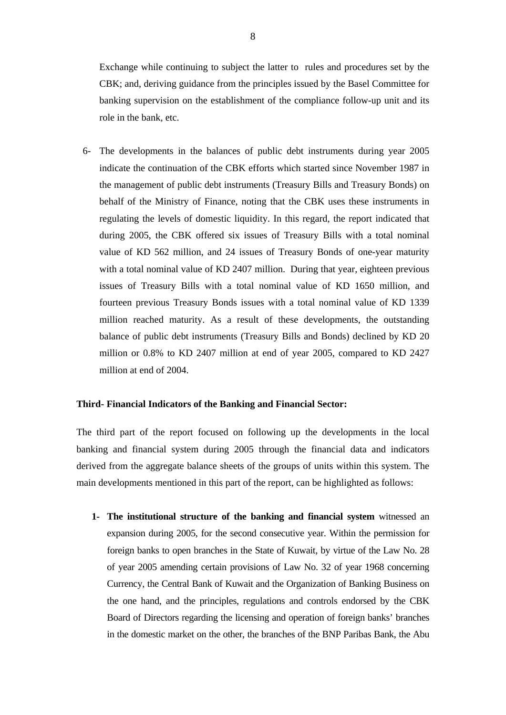Exchange while continuing to subject the latter to rules and procedures set by the CBK; and, deriving guidance from the principles issued by the Basel Committee for banking supervision on the establishment of the compliance follow-up unit and its role in the bank, etc.

6- The developments in the balances of public debt instruments during year 2005 indicate the continuation of the CBK efforts which started since November 1987 in the management of public debt instruments (Treasury Bills and Treasury Bonds) on behalf of the Ministry of Finance, noting that the CBK uses these instruments in regulating the levels of domestic liquidity. In this regard, the report indicated that during 2005, the CBK offered six issues of Treasury Bills with a total nominal value of KD 562 million, and 24 issues of Treasury Bonds of one-year maturity with a total nominal value of KD 2407 million. During that year, eighteen previous issues of Treasury Bills with a total nominal value of KD 1650 million, and fourteen previous Treasury Bonds issues with a total nominal value of KD 1339 million reached maturity. As a result of these developments, the outstanding balance of public debt instruments (Treasury Bills and Bonds) declined by KD 20 million or 0.8% to KD 2407 million at end of year 2005, compared to KD 2427 million at end of 2004.

### **Third- Financial Indicators of the Banking and Financial Sector:**

The third part of the report focused on following up the developments in the local banking and financial system during 2005 through the financial data and indicators derived from the aggregate balance sheets of the groups of units within this system. The main developments mentioned in this part of the report, can be highlighted as follows:

**1- The institutional structure of the banking and financial system** witnessed an expansion during 2005, for the second consecutive year. Within the permission for foreign banks to open branches in the State of Kuwait, by virtue of the Law No. 28 of year 2005 amending certain provisions of Law No. 32 of year 1968 concerning Currency, the Central Bank of Kuwait and the Organization of Banking Business on the one hand, and the principles, regulations and controls endorsed by the CBK Board of Directors regarding the licensing and operation of foreign banks' branches in the domestic market on the other, the branches of the BNP Paribas Bank, the Abu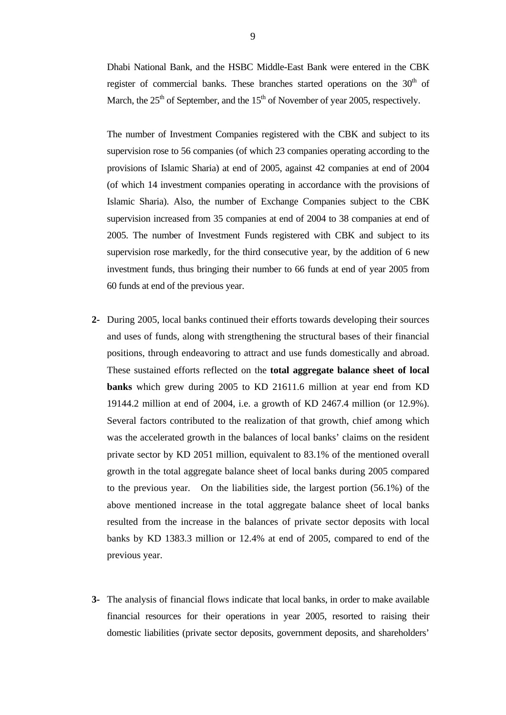Dhabi National Bank, and the HSBC Middle-East Bank were entered in the CBK register of commercial banks. These branches started operations on the 30<sup>th</sup> of March, the  $25<sup>th</sup>$  of September, and the  $15<sup>th</sup>$  of November of year 2005, respectively.

The number of Investment Companies registered with the CBK and subject to its supervision rose to 56 companies (of which 23 companies operating according to the provisions of Islamic Sharia) at end of 2005, against 42 companies at end of 2004 (of which 14 investment companies operating in accordance with the provisions of Islamic Sharia). Also, the number of Exchange Companies subject to the CBK supervision increased from 35 companies at end of 2004 to 38 companies at end of 2005. The number of Investment Funds registered with CBK and subject to its supervision rose markedly, for the third consecutive year, by the addition of 6 new investment funds, thus bringing their number to 66 funds at end of year 2005 from 60 funds at end of the previous year.

- **2-** During 2005, local banks continued their efforts towards developing their sources and uses of funds, along with strengthening the structural bases of their financial positions, through endeavoring to attract and use funds domestically and abroad. These sustained efforts reflected on the **total aggregate balance sheet of local banks** which grew during 2005 to KD 21611.6 million at year end from KD 19144.2 million at end of 2004, i.e. a growth of KD 2467.4 million (or 12.9%). Several factors contributed to the realization of that growth, chief among which was the accelerated growth in the balances of local banks' claims on the resident private sector by KD 2051 million, equivalent to 83.1% of the mentioned overall growth in the total aggregate balance sheet of local banks during 2005 compared to the previous year. On the liabilities side, the largest portion (56.1%) of the above mentioned increase in the total aggregate balance sheet of local banks resulted from the increase in the balances of private sector deposits with local banks by KD 1383.3 million or 12.4% at end of 2005, compared to end of the previous year.
- **3-** The analysis of financial flows indicate that local banks, in order to make available financial resources for their operations in year 2005, resorted to raising their domestic liabilities (private sector deposits, government deposits, and shareholders'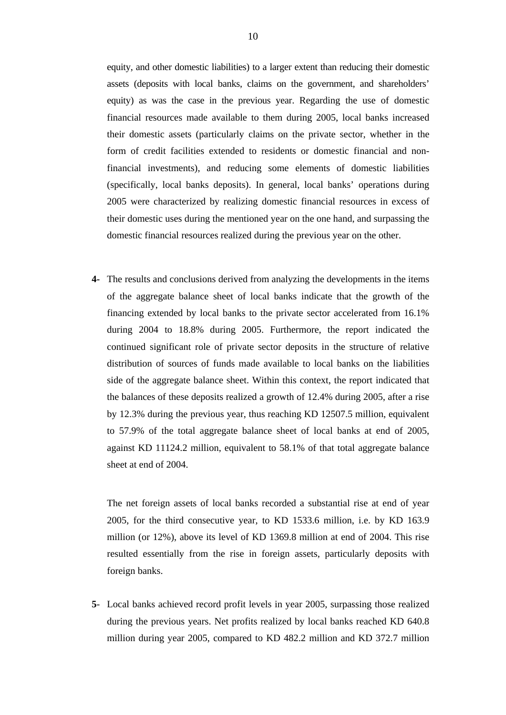equity, and other domestic liabilities) to a larger extent than reducing their domestic assets (deposits with local banks, claims on the government, and shareholders' equity) as was the case in the previous year. Regarding the use of domestic financial resources made available to them during 2005, local banks increased their domestic assets (particularly claims on the private sector, whether in the form of credit facilities extended to residents or domestic financial and nonfinancial investments), and reducing some elements of domestic liabilities (specifically, local banks deposits). In general, local banks' operations during 2005 were characterized by realizing domestic financial resources in excess of their domestic uses during the mentioned year on the one hand, and surpassing the domestic financial resources realized during the previous year on the other.

**4-** The results and conclusions derived from analyzing the developments in the items of the aggregate balance sheet of local banks indicate that the growth of the financing extended by local banks to the private sector accelerated from 16.1% during 2004 to 18.8% during 2005. Furthermore, the report indicated the continued significant role of private sector deposits in the structure of relative distribution of sources of funds made available to local banks on the liabilities side of the aggregate balance sheet. Within this context, the report indicated that the balances of these deposits realized a growth of 12.4% during 2005, after a rise by 12.3% during the previous year, thus reaching KD 12507.5 million, equivalent to 57.9% of the total aggregate balance sheet of local banks at end of 2005, against KD 11124.2 million, equivalent to 58.1% of that total aggregate balance sheet at end of 2004.

The net foreign assets of local banks recorded a substantial rise at end of year 2005, for the third consecutive year, to KD 1533.6 million, i.e. by KD 163.9 million (or 12%), above its level of KD 1369.8 million at end of 2004. This rise resulted essentially from the rise in foreign assets, particularly deposits with foreign banks.

**5**- Local banks achieved record profit levels in year 2005, surpassing those realized during the previous years. Net profits realized by local banks reached KD 640.8 million during year 2005, compared to KD 482.2 million and KD 372.7 million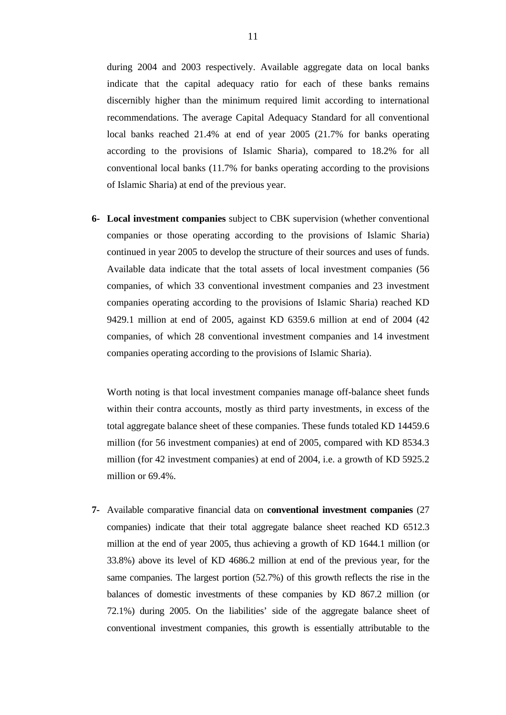during 2004 and 2003 respectively. Available aggregate data on local banks indicate that the capital adequacy ratio for each of these banks remains discernibly higher than the minimum required limit according to international recommendations. The average Capital Adequacy Standard for all conventional local banks reached 21.4% at end of year 2005 (21.7% for banks operating according to the provisions of Islamic Sharia), compared to 18.2% for all conventional local banks (11.7% for banks operating according to the provisions of Islamic Sharia) at end of the previous year.

**6- Local investment companies** subject to CBK supervision (whether conventional companies or those operating according to the provisions of Islamic Sharia) continued in year 2005 to develop the structure of their sources and uses of funds. Available data indicate that the total assets of local investment companies (56 companies, of which 33 conventional investment companies and 23 investment companies operating according to the provisions of Islamic Sharia) reached KD 9429.1 million at end of 2005, against KD 6359.6 million at end of 2004 (42 companies, of which 28 conventional investment companies and 14 investment companies operating according to the provisions of Islamic Sharia).

Worth noting is that local investment companies manage off-balance sheet funds within their contra accounts, mostly as third party investments, in excess of the total aggregate balance sheet of these companies. These funds totaled KD 14459.6 million (for 56 investment companies) at end of 2005, compared with KD 8534.3 million (for 42 investment companies) at end of 2004, i.e. a growth of KD 5925.2 million or 69.4%.

**7-** Available comparative financial data on **conventional investment companies** (27 companies) indicate that their total aggregate balance sheet reached KD 6512.3 million at the end of year 2005, thus achieving a growth of KD 1644.1 million (or 33.8%) above its level of KD 4686.2 million at end of the previous year, for the same companies. The largest portion (52.7%) of this growth reflects the rise in the balances of domestic investments of these companies by KD 867.2 million (or 72.1%) during 2005. On the liabilities' side of the aggregate balance sheet of conventional investment companies, this growth is essentially attributable to the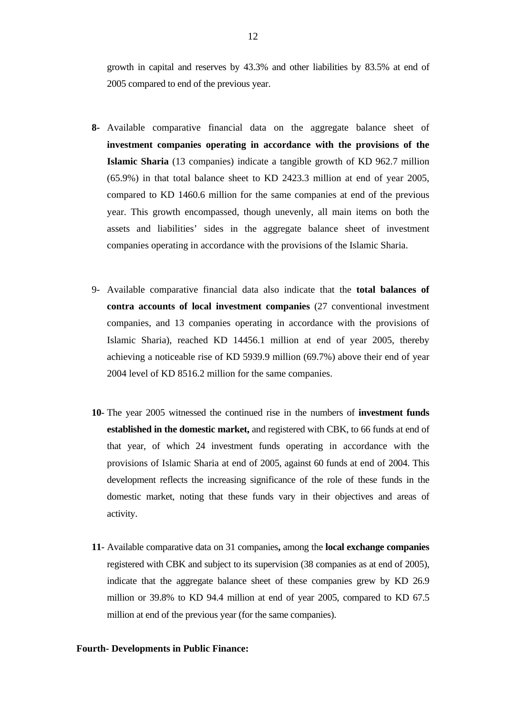growth in capital and reserves by 43.3% and other liabilities by 83.5% at end of 2005 compared to end of the previous year.

- **8-** Available comparative financial data on the aggregate balance sheet of **investment companies operating in accordance with the provisions of the Islamic Sharia** (13 companies) indicate a tangible growth of KD 962.7 million (65.9%) in that total balance sheet to KD 2423.3 million at end of year 2005, compared to KD 1460.6 million for the same companies at end of the previous year. This growth encompassed, though unevenly, all main items on both the assets and liabilities' sides in the aggregate balance sheet of investment companies operating in accordance with the provisions of the Islamic Sharia.
- 9- Available comparative financial data also indicate that the **total balances of contra accounts of local investment companies** (27 conventional investment companies, and 13 companies operating in accordance with the provisions of Islamic Sharia), reached KD 14456.1 million at end of year 2005, thereby achieving a noticeable rise of KD 5939.9 million (69.7%) above their end of year 2004 level of KD 8516.2 million for the same companies.
- **10** The year 2005 witnessed the continued rise in the numbers of **investment funds established in the domestic market,** and registered with CBK, to 66 funds at end of that year, of which 24 investment funds operating in accordance with the provisions of Islamic Sharia at end of 2005, against 60 funds at end of 2004. This development reflects the increasing significance of the role of these funds in the domestic market, noting that these funds vary in their objectives and areas of activity.
- **11** Available comparative data on 31 companies**,** among the **local exchange companies** registered with CBK and subject to its supervision (38 companies as at end of 2005), indicate that the aggregate balance sheet of these companies grew by KD 26.9 million or 39.8% to KD 94.4 million at end of year 2005, compared to KD 67.5 million at end of the previous year (for the same companies).

## **Fourth- Developments in Public Finance:**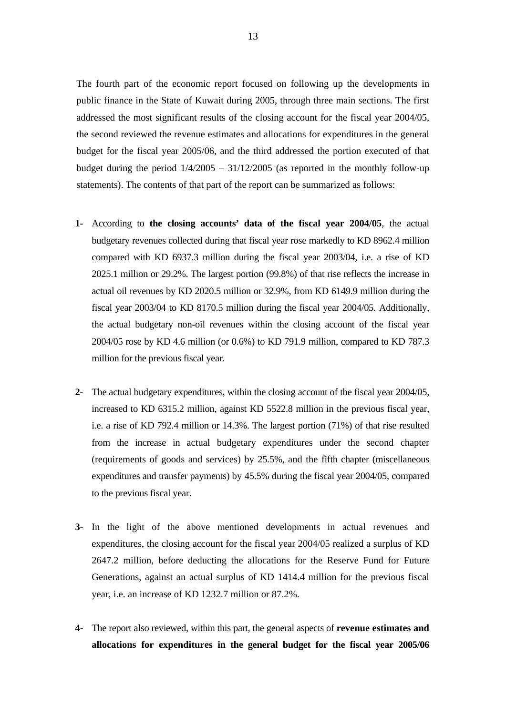The fourth part of the economic report focused on following up the developments in public finance in the State of Kuwait during 2005, through three main sections. The first addressed the most significant results of the closing account for the fiscal year 2004/05, the second reviewed the revenue estimates and allocations for expenditures in the general budget for the fiscal year 2005/06, and the third addressed the portion executed of that budget during the period  $1/4/2005 - 31/12/2005$  (as reported in the monthly follow-up statements). The contents of that part of the report can be summarized as follows:

- **1-** According to **the closing accounts' data of the fiscal year 2004/05**, the actual budgetary revenues collected during that fiscal year rose markedly to KD 8962.4 million compared with KD 6937.3 million during the fiscal year 2003/04, i.e. a rise of KD 2025.1 million or 29.2%. The largest portion (99.8%) of that rise reflects the increase in actual oil revenues by KD 2020.5 million or 32.9%, from KD 6149.9 million during the fiscal year 2003/04 to KD 8170.5 million during the fiscal year 2004/05. Additionally, the actual budgetary non-oil revenues within the closing account of the fiscal year 2004/05 rose by KD 4.6 million (or 0.6%) to KD 791.9 million, compared to KD 787.3 million for the previous fiscal year.
- **2-** The actual budgetary expenditures, within the closing account of the fiscal year 2004/05, increased to KD 6315.2 million, against KD 5522.8 million in the previous fiscal year, i.e. a rise of KD 792.4 million or 14.3%. The largest portion (71%) of that rise resulted from the increase in actual budgetary expenditures under the second chapter (requirements of goods and services) by 25.5%, and the fifth chapter (miscellaneous expenditures and transfer payments) by 45.5% during the fiscal year 2004/05, compared to the previous fiscal year.
- **3-** In the light of the above mentioned developments in actual revenues and expenditures, the closing account for the fiscal year 2004/05 realized a surplus of KD 2647.2 million, before deducting the allocations for the Reserve Fund for Future Generations, against an actual surplus of KD 1414.4 million for the previous fiscal year, i.e. an increase of KD 1232.7 million or 87.2%.
- **4-** The report also reviewed, within this part, the general aspects of **revenue estimates and allocations for expenditures in the general budget for the fiscal year 2005/06**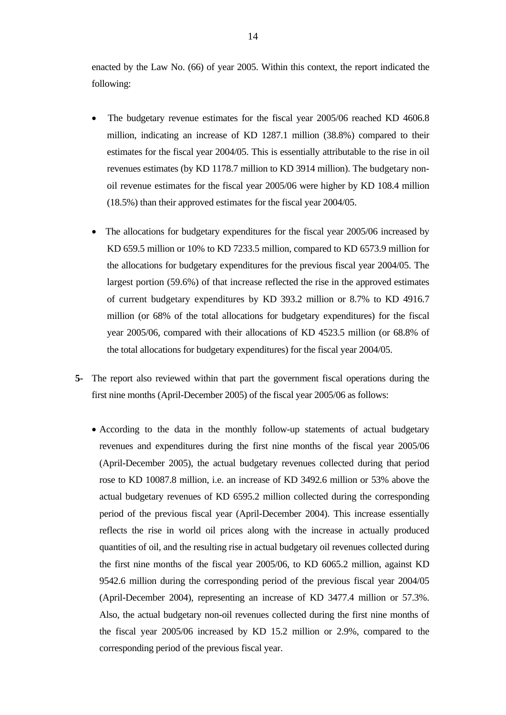enacted by the Law No. (66) of year 2005. Within this context, the report indicated the following:

- The budgetary revenue estimates for the fiscal year 2005/06 reached KD 4606.8 million, indicating an increase of KD 1287.1 million (38.8%) compared to their estimates for the fiscal year 2004/05. This is essentially attributable to the rise in oil revenues estimates (by KD 1178.7 million to KD 3914 million). The budgetary nonoil revenue estimates for the fiscal year 2005/06 were higher by KD 108.4 million (18.5%) than their approved estimates for the fiscal year 2004/05.
- The allocations for budgetary expenditures for the fiscal year 2005/06 increased by KD 659.5 million or 10% to KD 7233.5 million, compared to KD 6573.9 million for the allocations for budgetary expenditures for the previous fiscal year 2004/05. The largest portion (59.6%) of that increase reflected the rise in the approved estimates of current budgetary expenditures by KD 393.2 million or 8.7% to KD 4916.7 million (or 68% of the total allocations for budgetary expenditures) for the fiscal year 2005/06, compared with their allocations of KD 4523.5 million (or 68.8% of the total allocations for budgetary expenditures) for the fiscal year 2004/05.
- **5-** The report also reviewed within that part the government fiscal operations during the first nine months (April-December 2005) of the fiscal year 2005/06 as follows:
	- According to the data in the monthly follow-up statements of actual budgetary revenues and expenditures during the first nine months of the fiscal year 2005/06 (April-December 2005), the actual budgetary revenues collected during that period rose to KD 10087.8 million, i.e. an increase of KD 3492.6 million or 53% above the actual budgetary revenues of KD 6595.2 million collected during the corresponding period of the previous fiscal year (April-December 2004). This increase essentially reflects the rise in world oil prices along with the increase in actually produced quantities of oil, and the resulting rise in actual budgetary oil revenues collected during the first nine months of the fiscal year 2005/06, to KD 6065.2 million, against KD 9542.6 million during the corresponding period of the previous fiscal year 2004/05 (April-December 2004), representing an increase of KD 3477.4 million or 57.3%. Also, the actual budgetary non-oil revenues collected during the first nine months of the fiscal year 2005/06 increased by KD 15.2 million or 2.9%, compared to the corresponding period of the previous fiscal year.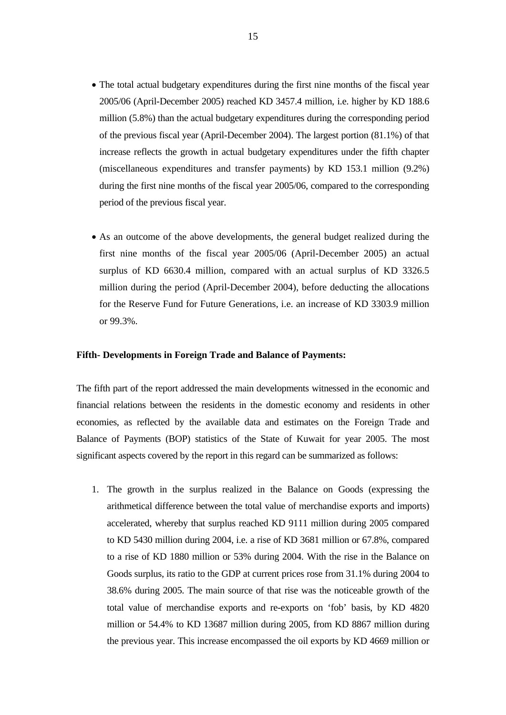- The total actual budgetary expenditures during the first nine months of the fiscal year 2005/06 (April-December 2005) reached KD 3457.4 million, i.e. higher by KD 188.6 million (5.8%) than the actual budgetary expenditures during the corresponding period of the previous fiscal year (April-December 2004). The largest portion (81.1%) of that increase reflects the growth in actual budgetary expenditures under the fifth chapter (miscellaneous expenditures and transfer payments) by KD 153.1 million (9.2%) during the first nine months of the fiscal year 2005/06, compared to the corresponding period of the previous fiscal year.
- As an outcome of the above developments, the general budget realized during the first nine months of the fiscal year 2005/06 (April-December 2005) an actual surplus of KD 6630.4 million, compared with an actual surplus of KD 3326.5 million during the period (April-December 2004), before deducting the allocations for the Reserve Fund for Future Generations, i.e. an increase of KD 3303.9 million or 99.3%.

#### **Fifth- Developments in Foreign Trade and Balance of Payments:**

The fifth part of the report addressed the main developments witnessed in the economic and financial relations between the residents in the domestic economy and residents in other economies, as reflected by the available data and estimates on the Foreign Trade and Balance of Payments (BOP) statistics of the State of Kuwait for year 2005. The most significant aspects covered by the report in this regard can be summarized as follows:

1. The growth in the surplus realized in the Balance on Goods (expressing the arithmetical difference between the total value of merchandise exports and imports) accelerated, whereby that surplus reached KD 9111 million during 2005 compared to KD 5430 million during 2004, i.e. a rise of KD 3681 million or 67.8%, compared to a rise of KD 1880 million or 53% during 2004. With the rise in the Balance on Goods surplus, its ratio to the GDP at current prices rose from 31.1% during 2004 to 38.6% during 2005. The main source of that rise was the noticeable growth of the total value of merchandise exports and re-exports on 'fob' basis, by KD 4820 million or 54.4% to KD 13687 million during 2005, from KD 8867 million during the previous year. This increase encompassed the oil exports by KD 4669 million or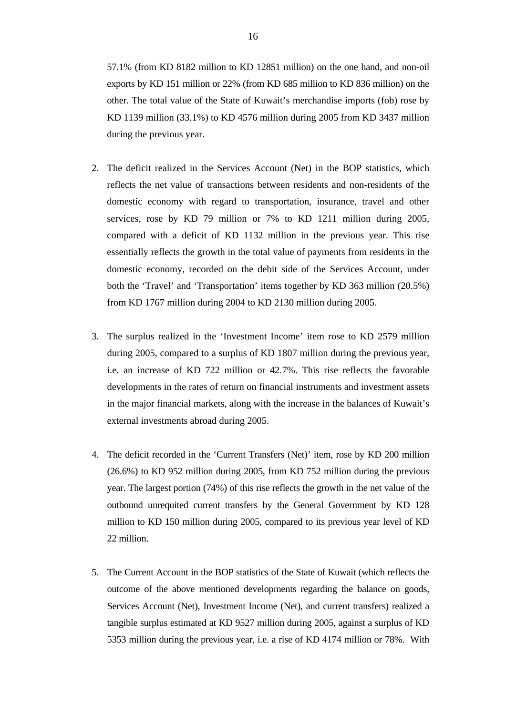57.1% (from KD 8182 million to KD 12851 million) on the one hand, and non-oil exports by KD 151 million or 22% (from KD 685 million to KD 836 million) on the other. The total value of the State of Kuwait's merchandise imports (fob) rose by KD 1139 million (33.1%) to KD 4576 million during 2005 from KD 3437 million during the previous year.

- 2. The deficit realized in the Services Account (Net) in the BOP statistics, which reflects the net value of transactions between residents and non-residents of the domestic economy with regard to transportation, insurance, travel and other services, rose by KD 79 million or 7% to KD 1211 million during 2005, compared with a deficit of KD 1132 million in the previous year. This rise essentially reflects the growth in the total value of payments from residents in the domestic economy, recorded on the debit side of the Services Account, under both the 'Travel' and 'Transportation' items together by KD 363 million (20.5%) from KD 1767 million during 2004 to KD 2130 million during 2005.
- 3. The surplus realized in the 'Investment Income' item rose to KD 2579 million during 2005, compared to a surplus of KD 1807 million during the previous year, i.e. an increase of KD 722 million or 42.7%. This rise reflects the favorable developments in the rates of return on financial instruments and investment assets in the major financial markets, along with the increase in the balances of Kuwait's external investments abroad during 2005.
- 4. The deficit recorded in the 'Current Transfers (Net)' item, rose by KD 200 million (26.6%) to KD 952 million during 2005, from KD 752 million during the previous year. The largest portion (74%) of this rise reflects the growth in the net value of the outbound unrequited current transfers by the General Government by KD 128 million to KD 150 million during 2005, compared to its previous year level of KD 22 million.
- 5. The Current Account in the BOP statistics of the State of Kuwait (which reflects the outcome of the above mentioned developments regarding the balance on goods, Services Account (Net), Investment Income (Net), and current transfers) realized a tangible surplus estimated at KD 9527 million during 2005, against a surplus of KD 5353 million during the previous year, i.e. a rise of KD 4174 million or 78%. With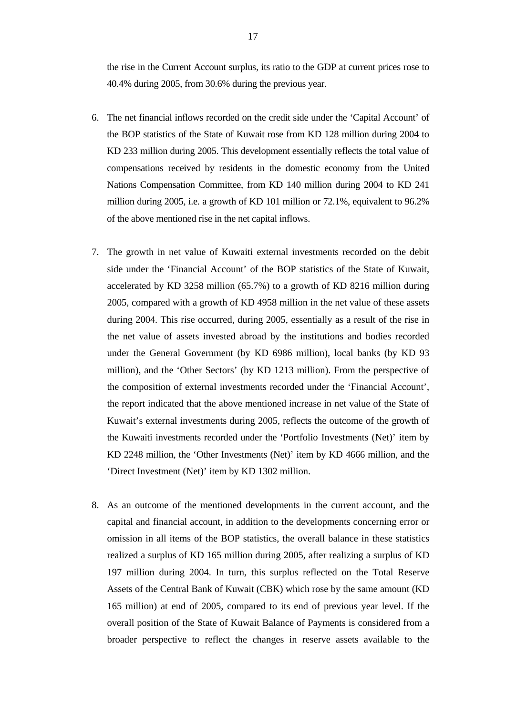the rise in the Current Account surplus, its ratio to the GDP at current prices rose to 40.4% during 2005, from 30.6% during the previous year.

- 6. The net financial inflows recorded on the credit side under the 'Capital Account' of the BOP statistics of the State of Kuwait rose from KD 128 million during 2004 to KD 233 million during 2005. This development essentially reflects the total value of compensations received by residents in the domestic economy from the United Nations Compensation Committee, from KD 140 million during 2004 to KD 241 million during 2005, i.e. a growth of KD 101 million or 72.1%, equivalent to 96.2% of the above mentioned rise in the net capital inflows.
- 7. The growth in net value of Kuwaiti external investments recorded on the debit side under the 'Financial Account' of the BOP statistics of the State of Kuwait, accelerated by KD 3258 million (65.7%) to a growth of KD 8216 million during 2005, compared with a growth of KD 4958 million in the net value of these assets during 2004. This rise occurred, during 2005, essentially as a result of the rise in the net value of assets invested abroad by the institutions and bodies recorded under the General Government (by KD 6986 million), local banks (by KD 93 million), and the 'Other Sectors' (by KD 1213 million). From the perspective of the composition of external investments recorded under the 'Financial Account', the report indicated that the above mentioned increase in net value of the State of Kuwait's external investments during 2005, reflects the outcome of the growth of the Kuwaiti investments recorded under the 'Portfolio Investments (Net)' item by KD 2248 million, the 'Other Investments (Net)' item by KD 4666 million, and the 'Direct Investment (Net)' item by KD 1302 million.
- 8. As an outcome of the mentioned developments in the current account, and the capital and financial account, in addition to the developments concerning error or omission in all items of the BOP statistics, the overall balance in these statistics realized a surplus of KD 165 million during 2005, after realizing a surplus of KD 197 million during 2004. In turn, this surplus reflected on the Total Reserve Assets of the Central Bank of Kuwait (CBK) which rose by the same amount (KD 165 million) at end of 2005, compared to its end of previous year level. If the overall position of the State of Kuwait Balance of Payments is considered from a broader perspective to reflect the changes in reserve assets available to the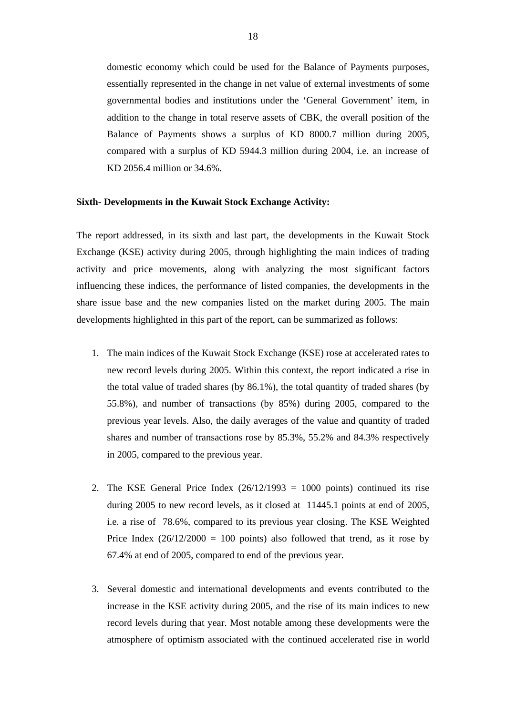domestic economy which could be used for the Balance of Payments purposes, essentially represented in the change in net value of external investments of some governmental bodies and institutions under the 'General Government' item, in addition to the change in total reserve assets of CBK, the overall position of the Balance of Payments shows a surplus of KD 8000.7 million during 2005, compared with a surplus of KD 5944.3 million during 2004, i.e. an increase of KD 2056.4 million or 34.6%.

#### **Sixth- Developments in the Kuwait Stock Exchange Activity:**

The report addressed, in its sixth and last part, the developments in the Kuwait Stock Exchange (KSE) activity during 2005, through highlighting the main indices of trading activity and price movements, along with analyzing the most significant factors influencing these indices, the performance of listed companies, the developments in the share issue base and the new companies listed on the market during 2005. The main developments highlighted in this part of the report, can be summarized as follows:

- 1. The main indices of the Kuwait Stock Exchange (KSE) rose at accelerated rates to new record levels during 2005. Within this context, the report indicated a rise in the total value of traded shares (by 86.1%), the total quantity of traded shares (by 55.8%), and number of transactions (by 85%) during 2005, compared to the previous year levels. Also, the daily averages of the value and quantity of traded shares and number of transactions rose by 85.3%, 55.2% and 84.3% respectively in 2005, compared to the previous year.
- 2. The KSE General Price Index  $(26/12/1993 = 1000$  points) continued its rise during 2005 to new record levels, as it closed at 11445.1 points at end of 2005, i.e. a rise of 78.6%, compared to its previous year closing. The KSE Weighted Price Index  $(26/12/2000 = 100$  points) also followed that trend, as it rose by 67.4% at end of 2005, compared to end of the previous year.
- 3. Several domestic and international developments and events contributed to the increase in the KSE activity during 2005, and the rise of its main indices to new record levels during that year. Most notable among these developments were the atmosphere of optimism associated with the continued accelerated rise in world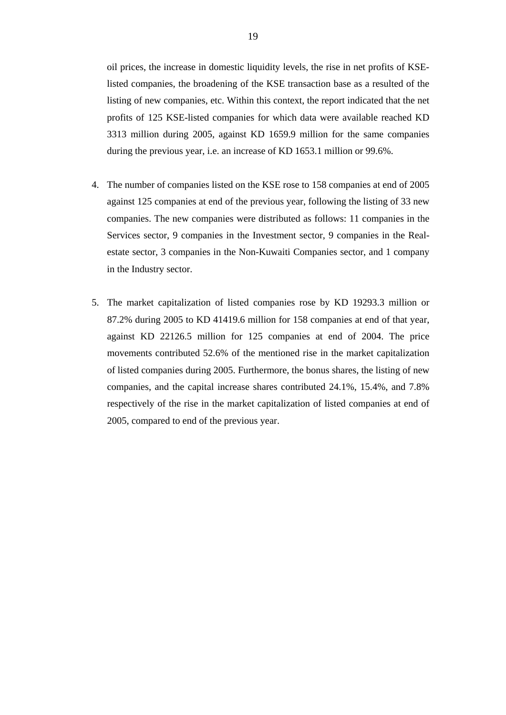oil prices, the increase in domestic liquidity levels, the rise in net profits of KSElisted companies, the broadening of the KSE transaction base as a resulted of the listing of new companies, etc. Within this context, the report indicated that the net profits of 125 KSE-listed companies for which data were available reached KD 3313 million during 2005, against KD 1659.9 million for the same companies during the previous year, i.e. an increase of KD 1653.1 million or 99.6%.

- 4. The number of companies listed on the KSE rose to 158 companies at end of 2005 against 125 companies at end of the previous year, following the listing of 33 new companies. The new companies were distributed as follows: 11 companies in the Services sector, 9 companies in the Investment sector, 9 companies in the Realestate sector, 3 companies in the Non-Kuwaiti Companies sector, and 1 company in the Industry sector.
- 5. The market capitalization of listed companies rose by KD 19293.3 million or 87.2% during 2005 to KD 41419.6 million for 158 companies at end of that year, against KD 22126.5 million for 125 companies at end of 2004. The price movements contributed 52.6% of the mentioned rise in the market capitalization of listed companies during 2005. Furthermore, the bonus shares, the listing of new companies, and the capital increase shares contributed 24.1%, 15.4%, and 7.8% respectively of the rise in the market capitalization of listed companies at end of 2005, compared to end of the previous year.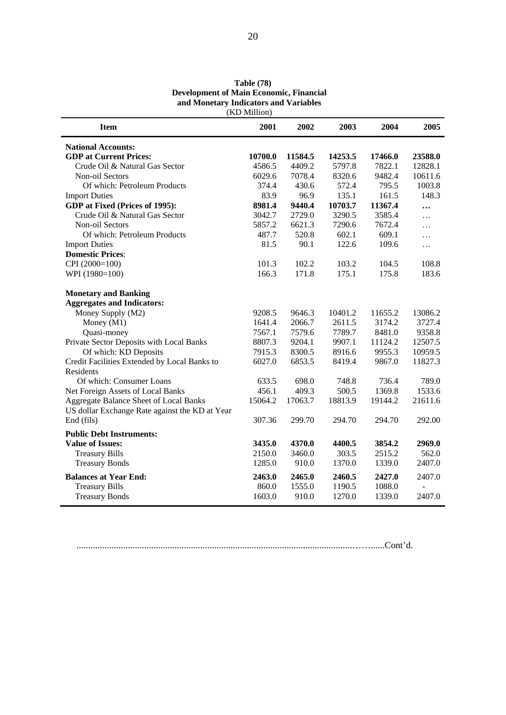| (KD Million)                                                                             |         |         |         |         |              |  |  |  |
|------------------------------------------------------------------------------------------|---------|---------|---------|---------|--------------|--|--|--|
| <b>Item</b>                                                                              | 2001    | 2002    | 2003    | 2004    | 2005         |  |  |  |
| <b>National Accounts:</b>                                                                |         |         |         |         |              |  |  |  |
| <b>GDP</b> at Current Prices:                                                            | 10700.0 | 11584.5 | 14253.5 | 17466.0 | 23588.0      |  |  |  |
| Crude Oil & Natural Gas Sector                                                           | 4586.5  | 4409.2  | 5797.8  | 7822.1  | 12828.1      |  |  |  |
| Non-oil Sectors                                                                          | 6029.6  | 7078.4  | 8320.6  | 9482.4  | 10611.6      |  |  |  |
| Of which: Petroleum Products                                                             | 374.4   | 430.6   | 572.4   | 795.5   | 1003.8       |  |  |  |
| <b>Import Duties</b>                                                                     | 83.9    | 96.9    | 135.1   | 161.5   | 148.3        |  |  |  |
| GDP at Fixed (Prices of 1995):                                                           | 8981.4  | 9440.4  | 10703.7 | 11367.4 | $\cdots$     |  |  |  |
| Crude Oil & Natural Gas Sector                                                           | 3042.7  | 2729.0  | 3290.5  | 3585.4  | .            |  |  |  |
| Non-oil Sectors                                                                          | 5857.2  | 6621.3  | 7290.6  | 7672.4  | .            |  |  |  |
| Of which: Petroleum Products                                                             | 487.7   | 520.8   | 602.1   | 609.1   | $\cdots$     |  |  |  |
| <b>Import Duties</b>                                                                     | 81.5    | 90.1    | 122.6   | 109.6   | $\cdots$     |  |  |  |
| <b>Domestic Prices:</b>                                                                  |         |         |         |         |              |  |  |  |
| CPI (2000=100)                                                                           | 101.3   | 102.2   | 103.2   | 104.5   | 108.8        |  |  |  |
| WPI (1980=100)                                                                           | 166.3   | 171.8   | 175.1   | 175.8   | 183.6        |  |  |  |
| <b>Monetary and Banking</b>                                                              |         |         |         |         |              |  |  |  |
| <b>Aggregates and Indicators:</b>                                                        |         |         |         |         |              |  |  |  |
| Money Supply (M2)                                                                        | 9208.5  | 9646.3  | 10401.2 | 11655.2 | 13086.2      |  |  |  |
| Money (M1)                                                                               | 1641.4  | 2066.7  | 2611.5  | 3174.2  | 3727.4       |  |  |  |
| Quasi-money                                                                              | 7567.1  | 7579.6  | 7789.7  | 8481.0  | 9358.8       |  |  |  |
| Private Sector Deposits with Local Banks                                                 | 8807.3  | 9204.1  | 9907.1  | 11124.2 | 12507.5      |  |  |  |
| Of which: KD Deposits                                                                    | 7915.3  | 8300.5  | 8916.6  | 9955.3  | 10959.5      |  |  |  |
| Credit Facilities Extended by Local Banks to<br><b>Residents</b>                         | 6027.0  | 6853.5  | 8419.4  | 9867.0  | 11827.3      |  |  |  |
| Of which: Consumer Loans                                                                 | 633.5   | 698.0   | 748.8   | 736.4   | 789.0        |  |  |  |
| Net Foreign Assets of Local Banks                                                        | 456.1   | 409.3   | 500.5   | 1369.8  | 1533.6       |  |  |  |
| Aggregate Balance Sheet of Local Banks<br>US dollar Exchange Rate against the KD at Year | 15064.2 | 17063.7 | 18813.9 | 19144.2 | 21611.6      |  |  |  |
| End (fils)                                                                               | 307.36  | 299.70  | 294.70  | 294.70  | 292.00       |  |  |  |
| <b>Public Debt Instruments:</b>                                                          |         |         |         |         |              |  |  |  |
| <b>Value of Issues:</b>                                                                  | 3435.0  | 4370.0  | 4400.5  | 3854.2  | 2969.0       |  |  |  |
| <b>Treasury Bills</b>                                                                    | 2150.0  | 3460.0  | 303.5   | 2515.2  | 562.0        |  |  |  |
| <b>Treasury Bonds</b>                                                                    | 1285.0  | 910.0   | 1370.0  | 1339.0  | 2407.0       |  |  |  |
| <b>Balances at Year End:</b>                                                             | 2463.0  | 2465.0  | 2460.5  | 2427.0  | 2407.0       |  |  |  |
| <b>Treasury Bills</b>                                                                    | 860.0   | 1555.0  | 1190.5  | 1088.0  | $\mathbf{r}$ |  |  |  |
| <b>Treasury Bonds</b>                                                                    | 1603.0  | 910.0   | 1270.0  | 1339.0  | 2407.0       |  |  |  |

**Table (78) Development of Main Economic, Financial and Monetary Indicators and Variables** 

......................................................................................................................……......Cont'd.